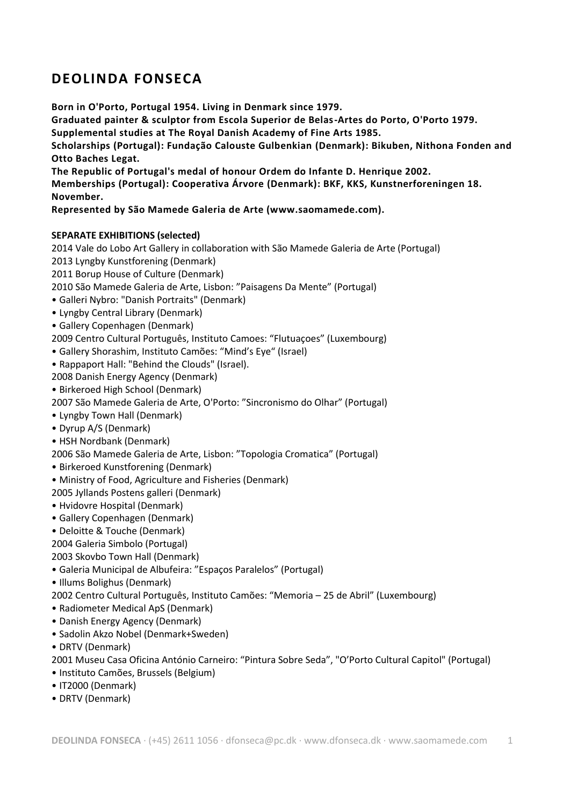# **DEOLINDA FONSECA**

**Born in O'Porto, Portugal 1954. Living in Denmark since 1979.**

**Graduated painter & sculptor from Escola Superior de Belas-Artes do Porto, O'Porto 1979. Supplemental studies at The Royal Danish Academy of Fine Arts 1985.**

**Scholarships (Portugal): Fundação Calouste Gulbenkian (Denmark): Bikuben, Nithona Fonden and Otto Baches Legat.**

**The Republic of Portugal's medal of honour Ordem do Infante D. Henrique 2002.**

**Memberships (Portugal): Cooperativa Árvore (Denmark): BKF, KKS, Kunstnerforeningen 18. November.**

**Represented by São Mamede Galeria de Arte (www.saomamede.com).**

# **SEPARATE EXHIBITIONS (selected)**

2014 Vale do Lobo Art Gallery in collaboration with São Mamede Galeria de Arte (Portugal) 2013 Lyngby Kunstforening (Denmark) 2011 Borup House of Culture (Denmark) 2010 São Mamede Galeria de Arte, Lisbon: "Paisagens Da Mente" (Portugal)

- Galleri Nybro: "Danish Portraits" (Denmark)
- Lyngby Central Library (Denmark)
- Gallery Copenhagen (Denmark)

2009 Centro Cultural Português, Instituto Camoes: "Flutuaçoes" (Luxembourg)

- Gallery Shorashim, Instituto Camões: "Mind's Eye" (Israel)
- Rappaport Hall: "Behind the Clouds" (Israel).

2008 Danish Energy Agency (Denmark)

- Birkeroed High School (Denmark)
- 2007 São Mamede Galeria de Arte, O'Porto: "Sincronismo do Olhar" (Portugal)
- Lyngby Town Hall (Denmark)
- Dyrup A/S (Denmark)
- HSH Nordbank (Denmark)

2006 São Mamede Galeria de Arte, Lisbon: "Topologia Cromatica" (Portugal)

- Birkeroed Kunstforening (Denmark)
- Ministry of Food, Agriculture and Fisheries (Denmark)

2005 Jyllands Postens galleri (Denmark)

- Hvidovre Hospital (Denmark)
- Gallery Copenhagen (Denmark)
- Deloitte & Touche (Denmark)

2004 Galeria Simbolo (Portugal)

2003 Skovbo Town Hall (Denmark)

- Galeria Municipal de Albufeira: "Espaços Paralelos" (Portugal)
- Illums Bolighus (Denmark)

2002 Centro Cultural Português, Instituto Camões: "Memoria – 25 de Abril" (Luxembourg)

- Radiometer Medical ApS (Denmark)
- Danish Energy Agency (Denmark)
- Sadolin Akzo Nobel (Denmark+Sweden)
- DRTV (Denmark)

2001 Museu Casa Oficina António Carneiro: "Pintura Sobre Seda", "O'Porto Cultural Capitol" (Portugal)

- Instituto Camões, Brussels (Belgium)
- IT2000 (Denmark)
- DRTV (Denmark)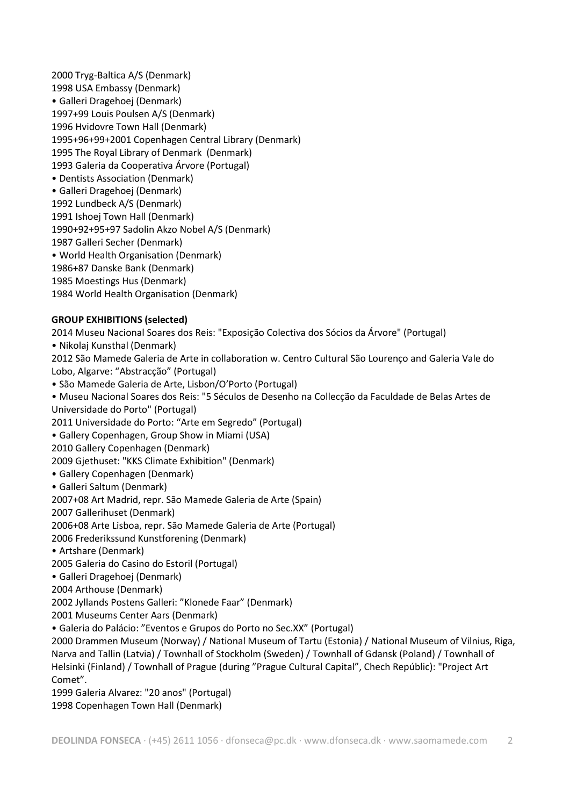2000 Tryg-Baltica A/S (Denmark) 1998 USA Embassy (Denmark) • Galleri Dragehoej (Denmark) 1997+99 Louis Poulsen A/S (Denmark) 1996 Hvidovre Town Hall (Denmark) 1995+96+99+2001 Copenhagen Central Library (Denmark) 1995 The Royal Library of Denmark (Denmark) 1993 Galeria da Cooperativa Árvore (Portugal) • Dentists Association (Denmark) • Galleri Dragehoej (Denmark) 1992 Lundbeck A/S (Denmark) 1991 Ishoej Town Hall (Denmark) 1990+92+95+97 Sadolin Akzo Nobel A/S (Denmark) 1987 Galleri Secher (Denmark) • World Health Organisation (Denmark) 1986+87 Danske Bank (Denmark) 1985 Moestings Hus (Denmark) 1984 World Health Organisation (Denmark)

# **GROUP EXHIBITIONS (selected)**

2014 Museu Nacional Soares dos Reis: "Exposição Colectiva dos Sócios da Árvore" (Portugal)

• Nikolaj Kunsthal (Denmark)

2012 São Mamede Galeria de Arte in collaboration w. Centro Cultural São Lourenço and Galeria Vale do Lobo, Algarve: "Abstracção" (Portugal)

- São Mamede Galeria de Arte, Lisbon/O'Porto (Portugal)
- Museu Nacional Soares dos Reis: "5 Séculos de Desenho na Collecção da Faculdade de Belas Artes de Universidade do Porto" (Portugal)

2011 Universidade do Porto: "Arte em Segredo" (Portugal)

• Gallery Copenhagen, Group Show in Miami (USA)

2010 Gallery Copenhagen (Denmark)

2009 Gjethuset: "KKS Climate Exhibition" (Denmark)

- Gallery Copenhagen (Denmark)
- Galleri Saltum (Denmark)

2007+08 Art Madrid, repr. São Mamede Galeria de Arte (Spain)

2007 Gallerihuset (Denmark)

2006+08 Arte Lisboa, repr. São Mamede Galeria de Arte (Portugal)

2006 Frederikssund Kunstforening (Denmark)

• Artshare (Denmark)

2005 Galeria do Casino do Estoril (Portugal)

• Galleri Dragehoej (Denmark)

2004 Arthouse (Denmark)

2002 Jyllands Postens Galleri: "Klonede Faar" (Denmark)

2001 Museums Center Aars (Denmark)

• Galeria do Palácio: "Eventos e Grupos do Porto no Sec.XX" (Portugal)

2000 Drammen Museum (Norway) / National Museum of Tartu (Estonia) / National Museum of Vilnius, Riga, Narva and Tallin (Latvia) / Townhall of Stockholm (Sweden) / Townhall of Gdansk (Poland) / Townhall of Helsinki (Finland) / Townhall of Prague (during "Prague Cultural Capital", Chech Repúblic): "Project Art Comet".

1999 Galeria Alvarez: "20 anos" (Portugal) 1998 Copenhagen Town Hall (Denmark)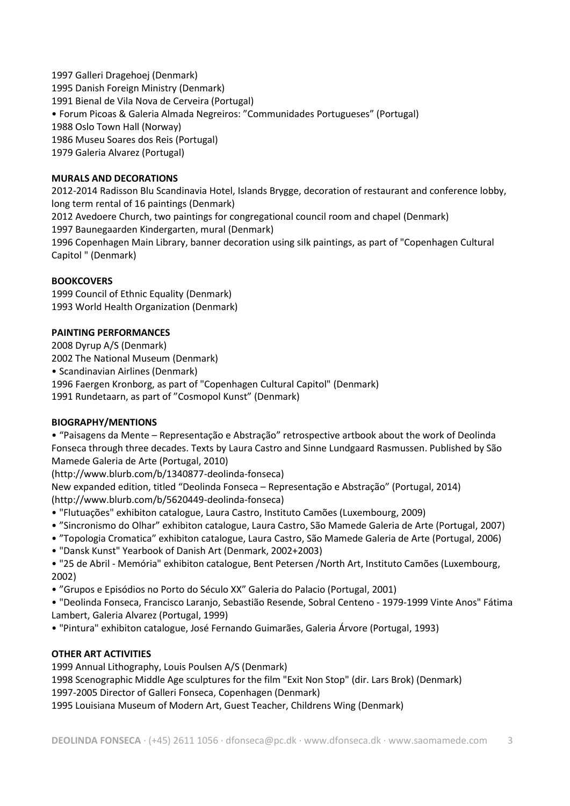1997 Galleri Dragehoej (Denmark) 1995 Danish Foreign Ministry (Denmark) 1991 Bienal de Vila Nova de Cerveira (Portugal) • Forum Picoas & Galeria Almada Negreiros: "Communidades Portugueses" (Portugal) 1988 Oslo Town Hall (Norway) 1986 Museu Soares dos Reis (Portugal) 1979 Galeria Alvarez (Portugal)

## **MURALS AND DECORATIONS**

2012-2014 Radisson Blu Scandinavia Hotel, Islands Brygge, decoration of restaurant and conference lobby, long term rental of 16 paintings (Denmark) 2012 Avedoere Church, two paintings for congregational council room and chapel (Denmark) 1997 Baunegaarden Kindergarten, mural (Denmark) 1996 Copenhagen Main Library, banner decoration using silk paintings, as part of "Copenhagen Cultural Capitol " (Denmark)

#### **BOOKCOVERS**

1999 Council of Ethnic Equality (Denmark) 1993 World Health Organization (Denmark)

#### **PAINTING PERFORMANCES**

2008 Dyrup A/S (Denmark) 2002 The National Museum (Denmark) • Scandinavian Airlines (Denmark) 1996 Faergen Kronborg, as part of "Copenhagen Cultural Capitol" (Denmark) 1991 Rundetaarn, as part of "Cosmopol Kunst" (Denmark)

#### **BIOGRAPHY/MENTIONS**

• "Paisagens da Mente – Representação e Abstração" retrospective artbook about the work of Deolinda Fonseca through three decades. Texts by Laura Castro and Sinne Lundgaard Rasmussen. Published by São Mamede Galeria de Arte (Portugal, 2010)

(http://www.blurb.com/b/1340877-deolinda-fonseca)

New expanded edition, titled "Deolinda Fonseca – Representação e Abstração" (Portugal, 2014) (http://www.blurb.com/b/5620449-deolinda-fonseca)

- "Flutuações" exhibiton catalogue, Laura Castro, Instituto Camões (Luxembourg, 2009)
- "Sincronismo do Olhar" exhibiton catalogue, Laura Castro, São Mamede Galeria de Arte (Portugal, 2007)
- "Topologia Cromatica" exhibiton catalogue, Laura Castro, São Mamede Galeria de Arte (Portugal, 2006)
- "Dansk Kunst" Yearbook of Danish Art (Denmark, 2002+2003)
- "25 de Abril Memória" exhibiton catalogue, Bent Petersen /North Art, Instituto Camões (Luxembourg, 2002)
- "Grupos e Episódios no Porto do Século XX" Galeria do Palacio (Portugal, 2001)

• "Deolinda Fonseca, Francisco Laranjo, Sebastião Resende, Sobral Centeno - 1979-1999 Vinte Anos" Fátima Lambert, Galeria Alvarez (Portugal, 1999)

• "Pintura" exhibiton catalogue, José Fernando Guimarães, Galeria Árvore (Portugal, 1993)

# **OTHER ART ACTIVITIES**

1999 Annual Lithography, Louis Poulsen A/S (Denmark) 1998 Scenographic Middle Age sculptures for the film "Exit Non Stop" (dir. Lars Brok) (Denmark) 1997-2005 Director of Galleri Fonseca, Copenhagen (Denmark)

1995 Louisiana Museum of Modern Art, Guest Teacher, Childrens Wing (Denmark)